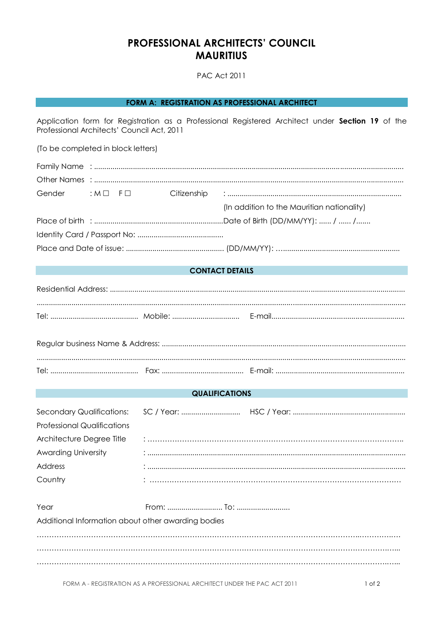## PROFESSIONAL ARCHITECTS' COUNCIL **MAURITIUS**

**PAC Act 2011** 

## FORM A: REGISTRATION AS PROFESSIONAL ARCHITECT

Application form for Registration as a Professional Registered Architect under Section 19 of the Professional Architects' Council Act, 2011

(To be completed in block letters)

| Gender : M D F D |  |  |  |                                            |  |  |
|------------------|--|--|--|--------------------------------------------|--|--|
|                  |  |  |  | (In addition to the Mauritian nationality) |  |  |
|                  |  |  |  |                                            |  |  |
|                  |  |  |  |                                            |  |  |
|                  |  |  |  |                                            |  |  |

## **CONTACT DETAILS**

#### **QUALIFICATIONS**

| <b>Professional Qualifications</b> |  |
|------------------------------------|--|
| Architecture Degree Title          |  |
| <b>Awarding University</b>         |  |
| Address                            |  |
| Country                            |  |

| Year                                               |  |
|----------------------------------------------------|--|
| Additional Information about other awarding bodies |  |
|                                                    |  |